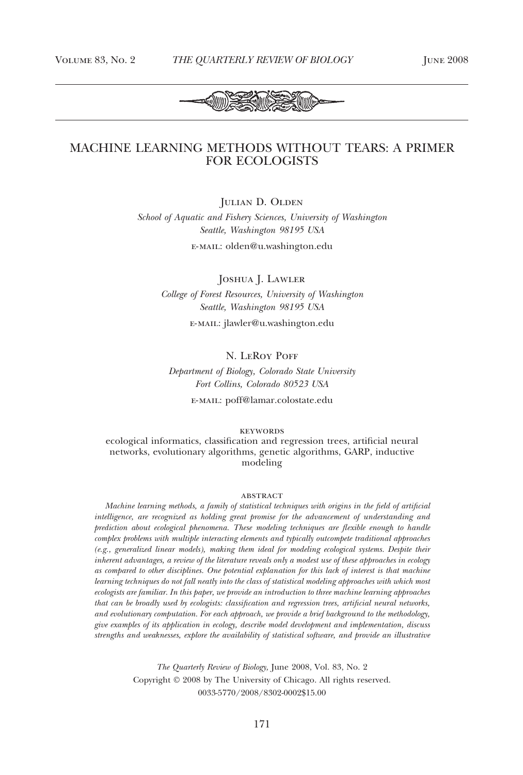

# MACHINE LEARNING METHODS WITHOUT TEARS: A PRIMER FOR ECOLOGISTS

JULIAN D. OLDEN

*School of Aquatic and Fishery Sciences, University of Washington Seattle, Washington 98195 USA*

e-mail: olden@u.washington.edu

Joshua J. Lawler *College of Forest Resources, University of Washington Seattle, Washington 98195 USA*

e-mail: jlawler@u.washington.edu

## N. LEROY POFF

*Department of Biology, Colorado State University Fort Collins, Colorado 80523 USA*

e-mail: poff@lamar.colostate.edu

keywords

ecological informatics, classification and regression trees, artificial neural networks, evolutionary algorithms, genetic algorithms, GARP, inductive modeling

#### **ABSTRACT**

*Machine learning methods, a family of statistical techniques with origins in the field of artificial intelligence, are recognized as holding great promise for the advancement of understanding and prediction about ecological phenomena. These modeling techniques are flexible enough to handle complex problems with multiple interacting elements and typically outcompete traditional approaches (e.g., generalized linear models), making them ideal for modeling ecological systems. Despite their inherent advantages, a review of the literature reveals only a modest use of these approaches in ecology as compared to other disciplines. One potential explanation for this lack of interest is that machine learning techniques do not fall neatly into the class of statistical modeling approaches with which most ecologists are familiar. In this paper, we provide an introduction to three machine learning approaches that can be broadly used by ecologists: classification and regression trees, artificial neural networks, and evolutionary computation. For each approach, we provide a brief background to the methodology, give examples of its application in ecology, describe model development and implementation, discuss strengths and weaknesses, explore the availability of statistical software, and provide an illustrative*

> *The Quarterly Review of Biology,* June 2008, Vol. 83, No. 2 Copyright © 2008 by The University of Chicago. All rights reserved. 0033-5770/2008/8302-0002\$15.00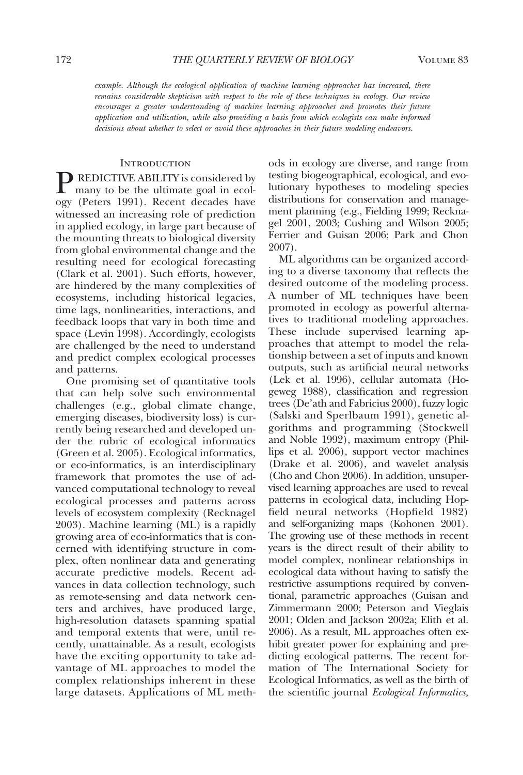*example. Although the ecological application of machine learning approaches has increased, there remains considerable skepticism with respect to the role of these techniques in ecology. Our review encourages a greater understanding of machine learning approaches and promotes their future application and utilization, while also providing a basis from which ecologists can make informed decisions about whether to select or avoid these approaches in their future modeling endeavors.*

### **INTRODUCTION**

**P REDICTIVE ABILITY** is considered by many to be the ultimate goal in ecology (Peters 1991). Recent decades have witnessed an increasing role of prediction in applied ecology, in large part because of the mounting threats to biological diversity from global environmental change and the resulting need for ecological forecasting (Clark et al. 2001). Such efforts, however, are hindered by the many complexities of ecosystems, including historical legacies, time lags, nonlinearities, interactions, and feedback loops that vary in both time and space (Levin 1998). Accordingly, ecologists are challenged by the need to understand and predict complex ecological processes and patterns.

One promising set of quantitative tools that can help solve such environmental challenges (e.g., global climate change, emerging diseases, biodiversity loss) is currently being researched and developed under the rubric of ecological informatics (Green et al. 2005). Ecological informatics, or eco-informatics, is an interdisciplinary framework that promotes the use of advanced computational technology to reveal ecological processes and patterns across levels of ecosystem complexity (Recknagel 2003). Machine learning (ML) is a rapidly growing area of eco-informatics that is concerned with identifying structure in complex, often nonlinear data and generating accurate predictive models. Recent advances in data collection technology, such as remote-sensing and data network centers and archives, have produced large, high-resolution datasets spanning spatial and temporal extents that were, until recently, unattainable. As a result, ecologists have the exciting opportunity to take advantage of ML approaches to model the complex relationships inherent in these large datasets. Applications of ML methods in ecology are diverse, and range from testing biogeographical, ecological, and evolutionary hypotheses to modeling species distributions for conservation and management planning (e.g., Fielding 1999; Recknagel 2001, 2003; Cushing and Wilson 2005; Ferrier and Guisan 2006; Park and Chon 2007).

ML algorithms can be organized according to a diverse taxonomy that reflects the desired outcome of the modeling process. A number of ML techniques have been promoted in ecology as powerful alternatives to traditional modeling approaches. These include supervised learning approaches that attempt to model the relationship between a set of inputs and known outputs, such as artificial neural networks (Lek et al. 1996), cellular automata (Hogeweg 1988), classification and regression trees (De'ath and Fabricius 2000), fuzzy logic (Salski and Sperlbaum 1991), genetic algorithms and programming (Stockwell and Noble 1992), maximum entropy (Phillips et al. 2006), support vector machines (Drake et al. 2006), and wavelet analysis (Cho and Chon 2006). In addition, unsupervised learning approaches are used to reveal patterns in ecological data, including Hopfield neural networks (Hopfield 1982) and self-organizing maps (Kohonen 2001). The growing use of these methods in recent years is the direct result of their ability to model complex, nonlinear relationships in ecological data without having to satisfy the restrictive assumptions required by conventional, parametric approaches (Guisan and Zimmermann 2000; Peterson and Vieglais 2001; Olden and Jackson 2002a; Elith et al. 2006). As a result, ML approaches often exhibit greater power for explaining and predicting ecological patterns. The recent formation of The International Society for Ecological Informatics, as well as the birth of the scientific journal *Ecological Informatics,*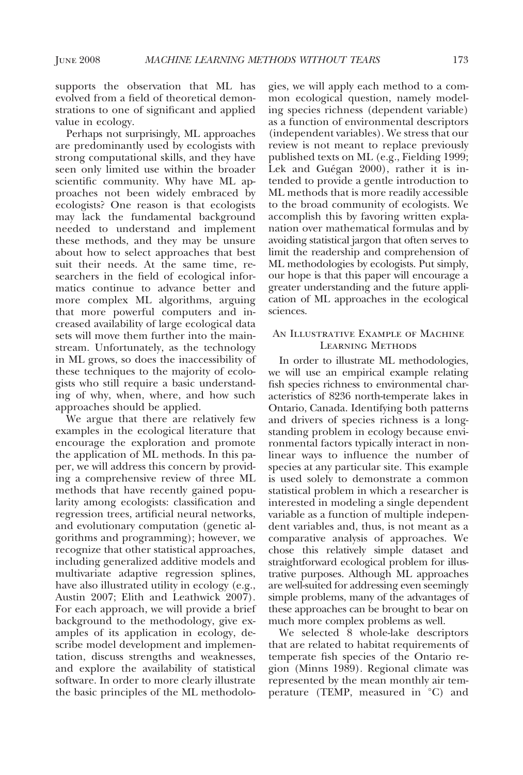supports the observation that ML has evolved from a field of theoretical demonstrations to one of significant and applied value in ecology.

Perhaps not surprisingly, ML approaches are predominantly used by ecologists with strong computational skills, and they have seen only limited use within the broader scientific community. Why have ML approaches not been widely embraced by ecologists? One reason is that ecologists may lack the fundamental background needed to understand and implement these methods, and they may be unsure about how to select approaches that best suit their needs. At the same time, researchers in the field of ecological informatics continue to advance better and more complex ML algorithms, arguing that more powerful computers and increased availability of large ecological data sets will move them further into the mainstream. Unfortunately, as the technology in ML grows, so does the inaccessibility of these techniques to the majority of ecologists who still require a basic understanding of why, when, where, and how such approaches should be applied.

We argue that there are relatively few examples in the ecological literature that encourage the exploration and promote the application of ML methods. In this paper, we will address this concern by providing a comprehensive review of three ML methods that have recently gained popularity among ecologists: classification and regression trees, artificial neural networks, and evolutionary computation (genetic algorithms and programming); however, we recognize that other statistical approaches, including generalized additive models and multivariate adaptive regression splines, have also illustrated utility in ecology (e.g., Austin 2007; Elith and Leathwick 2007). For each approach, we will provide a brief background to the methodology, give examples of its application in ecology, describe model development and implementation, discuss strengths and weaknesses, and explore the availability of statistical software. In order to more clearly illustrate the basic principles of the ML methodologies, we will apply each method to a common ecological question, namely modeling species richness (dependent variable) as a function of environmental descriptors (independent variables). We stress that our review is not meant to replace previously published texts on ML (e.g., Fielding 1999; Lek and Guégan 2000), rather it is intended to provide a gentle introduction to ML methods that is more readily accessible to the broad community of ecologists. We accomplish this by favoring written explanation over mathematical formulas and by avoiding statistical jargon that often serves to limit the readership and comprehension of ML methodologies by ecologists. Put simply, our hope is that this paper will encourage a greater understanding and the future application of ML approaches in the ecological sciences.

# An Illustrative Example of Machine Learning Methods

In order to illustrate ML methodologies, we will use an empirical example relating fish species richness to environmental characteristics of 8236 north-temperate lakes in Ontario, Canada. Identifying both patterns and drivers of species richness is a longstanding problem in ecology because environmental factors typically interact in nonlinear ways to influence the number of species at any particular site. This example is used solely to demonstrate a common statistical problem in which a researcher is interested in modeling a single dependent variable as a function of multiple independent variables and, thus, is not meant as a comparative analysis of approaches. We chose this relatively simple dataset and straightforward ecological problem for illustrative purposes. Although ML approaches are well-suited for addressing even seemingly simple problems, many of the advantages of these approaches can be brought to bear on much more complex problems as well.

We selected 8 whole-lake descriptors that are related to habitat requirements of temperate fish species of the Ontario region (Minns 1989). Regional climate was represented by the mean monthly air temperature (TEMP, measured in °C) and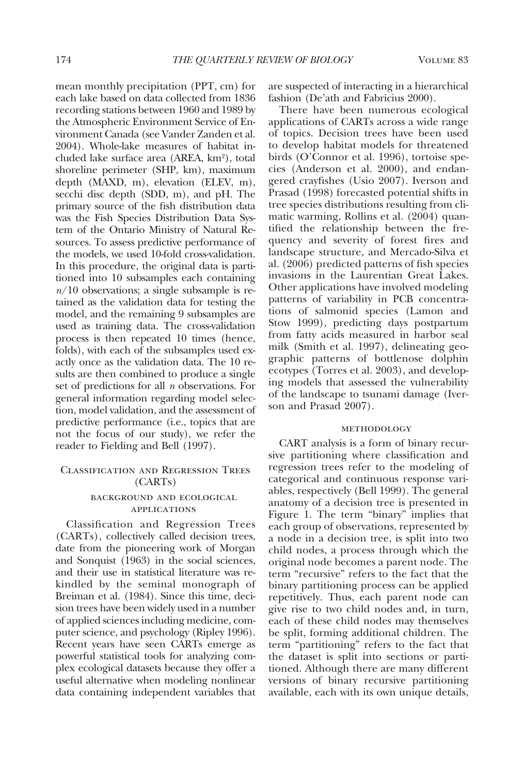mean monthly precipitation (PPT, cm) for each lake based on data collected from 1836 recording stations between 1960 and 1989 by the Atmospheric Environment Service of Environment Canada (see Vander Zanden et al. 2004). Whole-lake measures of habitat included lake surface area (AREA, km<sup>2</sup>), total shoreline perimeter (SHP, km), maximum depth (MAXD, m), elevation (ELEV, m), secchi disc depth (SDD, m), and pH. The primary source of the fish distribution data was the Fish Species Distribution Data System of the Ontario Ministry of Natural Resources. To assess predictive performance of the models, we used 10-fold cross-validation. In this procedure, the original data is partitioned into 10 subsamples each containing *n*/10 observations; a single subsample is retained as the validation data for testing the model, and the remaining 9 subsamples are used as training data. The cross-validation process is then repeated 10 times (hence, folds), with each of the subsamples used exactly once as the validation data. The 10 results are then combined to produce a single set of predictions for all *n* observations. For general information regarding model selection, model validation, and the assessment of predictive performance (i.e., topics that are not the focus of our study), we refer the reader to Fielding and Bell (1997).

# Classification and Regression Trees (CARTs)

# background and ecological applications

Classification and Regression Trees (CARTs), collectively called decision trees, date from the pioneering work of Morgan and Sonquist (1963) in the social sciences, and their use in statistical literature was rekindled by the seminal monograph of Breiman et al. (1984). Since this time, decision trees have been widely used in a number of applied sciences including medicine, computer science, and psychology (Ripley 1996). Recent years have seen CARTs emerge as powerful statistical tools for analyzing complex ecological datasets because they offer a useful alternative when modeling nonlinear data containing independent variables that

are suspected of interacting in a hierarchical fashion (De'ath and Fabricius 2000).

There have been numerous ecological applications of CARTs across a wide range of topics. Decision trees have been used to develop habitat models for threatened birds (O'Connor et al. 1996), tortoise species (Anderson et al. 2000), and endangered crayfishes (Usio 2007). Iverson and Prasad (1998) forecasted potential shifts in tree species distributions resulting from climatic warming, Rollins et al. (2004) quantified the relationship between the frequency and severity of forest fires and landscape structure, and Mercado-Silva et al. (2006) predicted patterns of fish species invasions in the Laurentian Great Lakes. Other applications have involved modeling patterns of variability in PCB concentrations of salmonid species (Lamon and Stow 1999), predicting days postpartum from fatty acids measured in harbor seal milk (Smith et al. 1997), delineating geographic patterns of bottlenose dolphin ecotypes (Torres et al. 2003), and developing models that assessed the vulnerability of the landscape to tsunami damage (Iverson and Prasad 2007).

### methodology

CART analysis is a form of binary recursive partitioning where classification and regression trees refer to the modeling of categorical and continuous response variables, respectively (Bell 1999). The general anatomy of a decision tree is presented in Figure 1. The term "binary" implies that each group of observations, represented by a node in a decision tree, is split into two child nodes, a process through which the original node becomes a parent node. The term "recursive" refers to the fact that the binary partitioning process can be applied repetitively. Thus, each parent node can give rise to two child nodes and, in turn, each of these child nodes may themselves be split, forming additional children. The term "partitioning" refers to the fact that the dataset is split into sections or partitioned. Although there are many different versions of binary recursive partitioning available, each with its own unique details,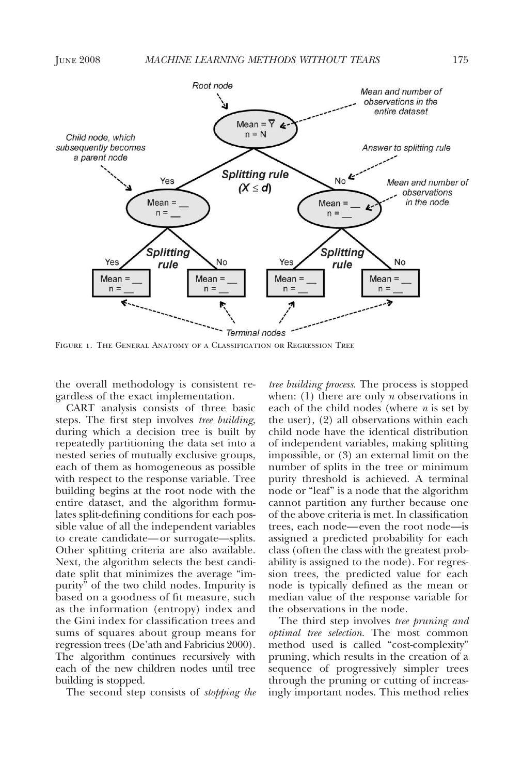

Figure 1. The General Anatomy of a Classification or Regression Tree

the overall methodology is consistent regardless of the exact implementation.

CART analysis consists of three basic steps. The first step involves *tree building*, during which a decision tree is built by repeatedly partitioning the data set into a nested series of mutually exclusive groups, each of them as homogeneous as possible with respect to the response variable. Tree building begins at the root node with the entire dataset, and the algorithm formulates split-defining conditions for each possible value of all the independent variables to create candidate— or surrogate—splits. Other splitting criteria are also available. Next, the algorithm selects the best candidate split that minimizes the average "impurity" of the two child nodes. Impurity is based on a goodness of fit measure, such as the information (entropy) index and the Gini index for classification trees and sums of squares about group means for regression trees (De'ath and Fabricius 2000). The algorithm continues recursively with each of the new children nodes until tree building is stopped.

The second step consists of *stopping the*

*tree building process*. The process is stopped when: (1) there are only *n* observations in each of the child nodes (where *n* is set by the user), (2) all observations within each child node have the identical distribution of independent variables, making splitting impossible, or (3) an external limit on the number of splits in the tree or minimum purity threshold is achieved. A terminal node or "leaf" is a node that the algorithm cannot partition any further because one of the above criteria is met. In classification trees, each node— even the root node—is assigned a predicted probability for each class (often the class with the greatest probability is assigned to the node). For regression trees, the predicted value for each node is typically defined as the mean or median value of the response variable for the observations in the node.

The third step involves *tree pruning and optimal tree selection*. The most common method used is called "cost-complexity" pruning, which results in the creation of a sequence of progressively simpler trees through the pruning or cutting of increasingly important nodes. This method relies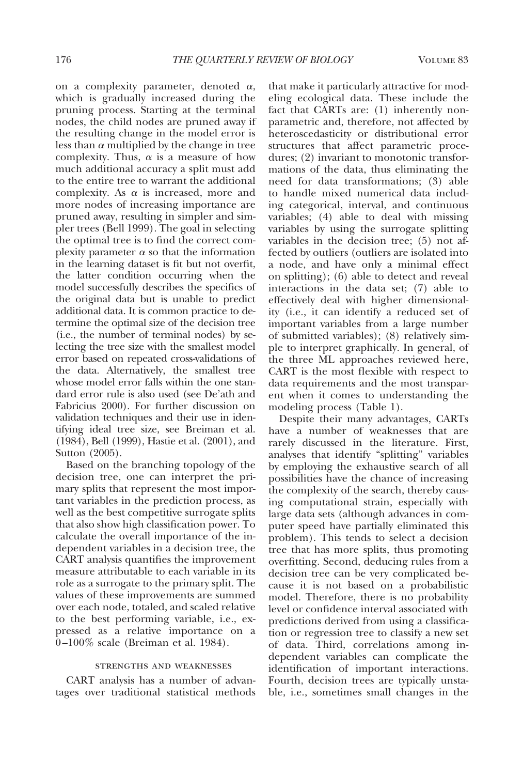on a complexity parameter, denoted  $\alpha$ , which is gradually increased during the pruning process. Starting at the terminal nodes, the child nodes are pruned away if the resulting change in the model error is less than  $\alpha$  multiplied by the change in tree complexity. Thus,  $\alpha$  is a measure of how much additional accuracy a split must add to the entire tree to warrant the additional complexity. As  $\alpha$  is increased, more and more nodes of increasing importance are pruned away, resulting in simpler and simpler trees (Bell 1999). The goal in selecting the optimal tree is to find the correct complexity parameter  $\alpha$  so that the information in the learning dataset is fit but not overfit, the latter condition occurring when the model successfully describes the specifics of the original data but is unable to predict additional data. It is common practice to determine the optimal size of the decision tree (i.e., the number of terminal nodes) by selecting the tree size with the smallest model error based on repeated cross-validations of the data. Alternatively, the smallest tree whose model error falls within the one standard error rule is also used (see De'ath and Fabricius 2000). For further discussion on validation techniques and their use in identifying ideal tree size, see Breiman et al. (1984), Bell (1999), Hastie et al. (2001), and Sutton (2005).

Based on the branching topology of the decision tree, one can interpret the primary splits that represent the most important variables in the prediction process, as well as the best competitive surrogate splits that also show high classification power. To calculate the overall importance of the independent variables in a decision tree, the CART analysis quantifies the improvement measure attributable to each variable in its role as a surrogate to the primary split. The values of these improvements are summed over each node, totaled, and scaled relative to the best performing variable, i.e., expressed as a relative importance on a 0 –100% scale (Breiman et al. 1984).

### strengths and weaknesses

CART analysis has a number of advantages over traditional statistical methods that make it particularly attractive for modeling ecological data. These include the fact that CARTs are: (1) inherently nonparametric and, therefore, not affected by heteroscedasticity or distributional error structures that affect parametric procedures; (2) invariant to monotonic transformations of the data, thus eliminating the need for data transformations; (3) able to handle mixed numerical data including categorical, interval, and continuous variables; (4) able to deal with missing variables by using the surrogate splitting variables in the decision tree; (5) not affected by outliers (outliers are isolated into a node, and have only a minimal effect on splitting); (6) able to detect and reveal interactions in the data set; (7) able to effectively deal with higher dimensionality (i.e., it can identify a reduced set of important variables from a large number of submitted variables); (8) relatively simple to interpret graphically. In general, of the three ML approaches reviewed here, CART is the most flexible with respect to data requirements and the most transparent when it comes to understanding the modeling process (Table 1).

Despite their many advantages, CARTs have a number of weaknesses that are rarely discussed in the literature. First, analyses that identify "splitting" variables by employing the exhaustive search of all possibilities have the chance of increasing the complexity of the search, thereby causing computational strain, especially with large data sets (although advances in computer speed have partially eliminated this problem). This tends to select a decision tree that has more splits, thus promoting overfitting. Second, deducing rules from a decision tree can be very complicated because it is not based on a probabilistic model. Therefore, there is no probability level or confidence interval associated with predictions derived from using a classification or regression tree to classify a new set of data. Third, correlations among independent variables can complicate the identification of important interactions. Fourth, decision trees are typically unstable, i.e., sometimes small changes in the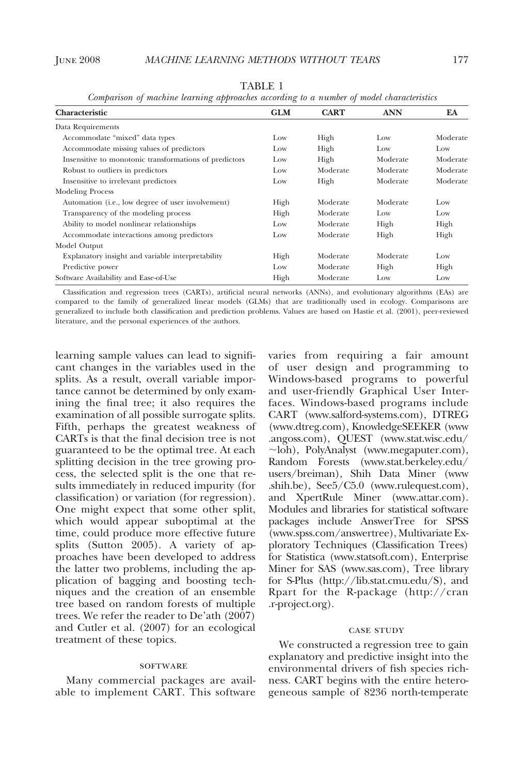| a.<br>۱D۱ |  |
|-----------|--|
|           |  |

*Comparison of machine learning approaches according to a number of model characteristics*

| Characteristic                                             | <b>GLM</b> | <b>CART</b> | <b>ANN</b> | EA       |
|------------------------------------------------------------|------------|-------------|------------|----------|
| Data Requirements                                          |            |             |            |          |
| Accommodate "mixed" data types                             | Low        | High        | Low        | Moderate |
| Accommodate missing values of predictors                   | Low        | High        | Low        | Low      |
| Insensitive to monotonic transformations of predictors     | Low        | High        | Moderate   | Moderate |
| Robust to outliers in predictors                           | Low        | Moderate    | Moderate   | Moderate |
| Insensitive to irrelevant predictors                       | Low        | High        | Moderate   | Moderate |
| <b>Modeling Process</b>                                    |            |             |            |          |
| Automation ( <i>i.e.</i> , low degree of user involvement) | High       | Moderate    | Moderate   | Low      |
| Transparency of the modeling process                       | High       | Moderate    | Low        | Low      |
| Ability to model nonlinear relationships                   | Low        | Moderate    | High       | High     |
| Accommodate interactions among predictors                  | Low        | Moderate    | High       | High     |
| Model Output                                               |            |             |            |          |
| Explanatory insight and variable interpretability          | High       | Moderate    | Moderate   | Low      |
| Predictive power                                           | Low        | Moderate    | High       | High     |
| Software Availability and Ease-of-Use                      | High       | Moderate    | Low        | Low      |

Classification and regression trees (CARTs), artificial neural networks (ANNs), and evolutionary algorithms (EAs) are compared to the family of generalized linear models (GLMs) that are traditionally used in ecology. Comparisons are generalized to include both classification and prediction problems. Values are based on Hastie et al. (2001), peer-reviewed literature, and the personal experiences of the authors.

learning sample values can lead to significant changes in the variables used in the splits. As a result, overall variable importance cannot be determined by only examining the final tree; it also requires the examination of all possible surrogate splits. Fifth, perhaps the greatest weakness of CARTs is that the final decision tree is not guaranteed to be the optimal tree. At each splitting decision in the tree growing process, the selected split is the one that results immediately in reduced impurity (for classification) or variation (for regression). One might expect that some other split, which would appear suboptimal at the time, could produce more effective future splits (Sutton 2005). A variety of approaches have been developed to address the latter two problems, including the application of bagging and boosting techniques and the creation of an ensemble tree based on random forests of multiple trees. We refer the reader to De'ath (2007) and Cutler et al. (2007) for an ecological treatment of these topics.

### **SOFTWARE**

Many commercial packages are available to implement CART. This software varies from requiring a fair amount of user design and programming to Windows-based programs to powerful and user-friendly Graphical User Interfaces. Windows-based programs include CART (www.salford-systems.com), DTREG (www.dtreg.com), KnowledgeSEEKER (www .angoss.com), QUEST (www.stat.wisc.edu/ ~loh), PolyAnalyst (www.megaputer.com), Random Forests (www.stat.berkeley.edu/ users/breiman), Shih Data Miner (www .shih.be), See5/C5.0 (www.rulequest.com), and XpertRule Miner (www.attar.com). Modules and libraries for statistical software packages include AnswerTree for SPSS (www.spss.com/answertree), Multivariate Exploratory Techniques (Classification Trees) for Statistica (www.statsoft.com), Enterprise Miner for SAS (www.sas.com), Tree library for S-Plus (http://lib.stat.cmu.edu/S), and Rpart for the R-package (http://cran .r-project.org).

#### case study

We constructed a regression tree to gain explanatory and predictive insight into the environmental drivers of fish species richness. CART begins with the entire heterogeneous sample of 8236 north-temperate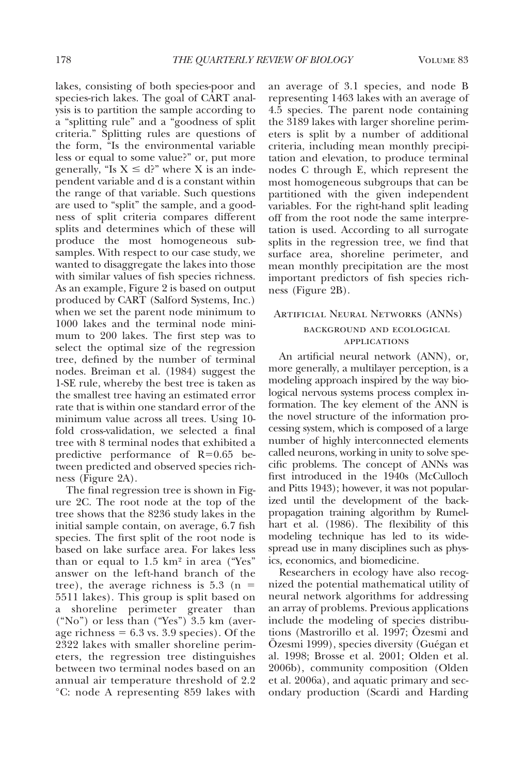lakes, consisting of both species-poor and species-rich lakes. The goal of CART analysis is to partition the sample according to a "splitting rule" and a "goodness of split criteria." Splitting rules are questions of the form, "Is the environmental variable less or equal to some value?" or, put more generally, "Is  $X \le d$ ?" where X is an independent variable and d is a constant within the range of that variable. Such questions are used to "split" the sample, and a goodness of split criteria compares different splits and determines which of these will produce the most homogeneous subsamples. With respect to our case study, we wanted to disaggregate the lakes into those with similar values of fish species richness. As an example, Figure 2 is based on output produced by CART (Salford Systems, Inc.) when we set the parent node minimum to 1000 lakes and the terminal node minimum to 200 lakes. The first step was to select the optimal size of the regression tree, defined by the number of terminal nodes. Breiman et al. (1984) suggest the 1-SE rule, whereby the best tree is taken as the smallest tree having an estimated error rate that is within one standard error of the minimum value across all trees. Using 10 fold cross-validation, we selected a final tree with 8 terminal nodes that exhibited a predictive performance of R=0.65 between predicted and observed species richness (Figure 2A).

The final regression tree is shown in Figure 2C. The root node at the top of the tree shows that the 8236 study lakes in the initial sample contain, on average, 6.7 fish species. The first split of the root node is based on lake surface area. For lakes less than or equal to  $1.5 \text{ km}^2$  in area ("Yes" answer on the left-hand branch of the tree), the average richness is  $5.3$  (n = 5511 lakes). This group is split based on a shoreline perimeter greater than ("No") or less than ("Yes") 3.5 km (average richness  $= 6.3$  vs. 3.9 species). Of the 2322 lakes with smaller shoreline perimeters, the regression tree distinguishes between two terminal nodes based on an annual air temperature threshold of 2.2 °C: node A representing 859 lakes with an average of 3.1 species, and node B representing 1463 lakes with an average of 4.5 species. The parent node containing the 3189 lakes with larger shoreline perimeters is split by a number of additional criteria, including mean monthly precipitation and elevation, to produce terminal nodes C through E, which represent the most homogeneous subgroups that can be partitioned with the given independent variables. For the right-hand split leading off from the root node the same interpretation is used. According to all surrogate splits in the regression tree, we find that surface area, shoreline perimeter, and mean monthly precipitation are the most important predictors of fish species richness (Figure 2B).

# Artificial Neural Networks (ANNs)

# background and ecological **APPLICATIONS**

An artificial neural network (ANN), or, more generally, a multilayer perception, is a modeling approach inspired by the way biological nervous systems process complex information. The key element of the ANN is the novel structure of the information processing system, which is composed of a large number of highly interconnected elements called neurons, working in unity to solve specific problems. The concept of ANNs was first introduced in the 1940s (McCulloch and Pitts 1943); however, it was not popularized until the development of the backpropagation training algorithm by Rumelhart et al. (1986). The flexibility of this modeling technique has led to its widespread use in many disciplines such as physics, economics, and biomedicine.

Researchers in ecology have also recognized the potential mathematical utility of neural network algorithms for addressing an array of problems. Previous applications include the modeling of species distributions (Mastrorillo et al. 1997; Ozesmi and Ozesmi 1999), species diversity (Guégan et al. 1998; Brosse et al. 2001; Olden et al. 2006b), community composition (Olden et al. 2006a), and aquatic primary and secondary production (Scardi and Harding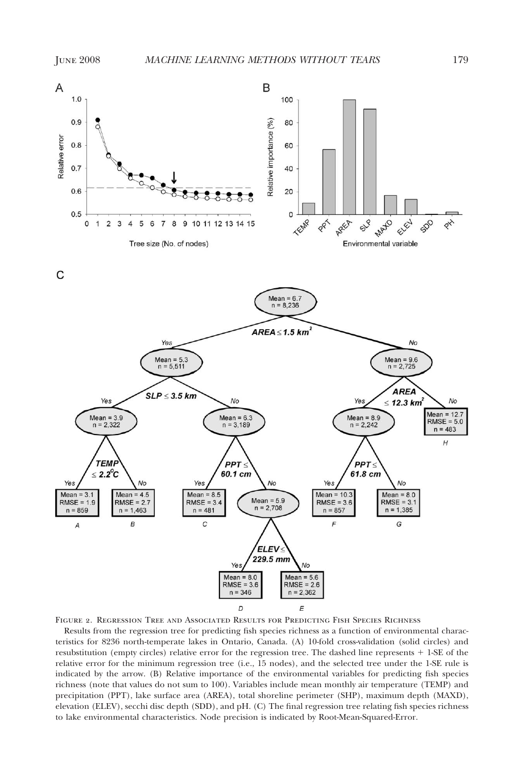

Figure 2. Regression Tree and Associated Results for Predicting Fish Species Richness

Results from the regression tree for predicting fish species richness as a function of environmental characteristics for 8236 north-temperate lakes in Ontario, Canada. (A) 10-fold cross-validation (solid circles) and resubstitution (empty circles) relative error for the regression tree. The dashed line represents + 1-SE of the relative error for the minimum regression tree (i.e., 15 nodes), and the selected tree under the 1-SE rule is indicated by the arrow. (B) Relative importance of the environmental variables for predicting fish species richness (note that values do not sum to 100). Variables include mean monthly air temperature (TEMP) and precipitation (PPT), lake surface area (AREA), total shoreline perimeter (SHP), maximum depth (MAXD), elevation (ELEV), secchi disc depth (SDD), and pH. (C) The final regression tree relating fish species richness to lake environmental characteristics. Node precision is indicated by Root-Mean-Squared-Error.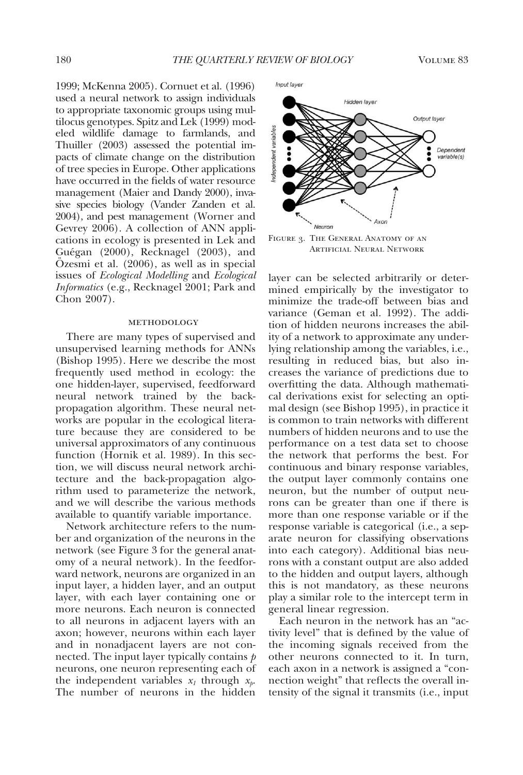1999; McKenna 2005). Cornuet et al. (1996) used a neural network to assign individuals to appropriate taxonomic groups using multilocus genotypes. Spitz and Lek (1999) modeled wildlife damage to farmlands, and Thuiller (2003) assessed the potential impacts of climate change on the distribution of tree species in Europe. Other applications have occurred in the fields of water resource management (Maier and Dandy 2000), invasive species biology (Vander Zanden et al. 2004), and pest management (Worner and Gevrey 2006). A collection of ANN applications in ecology is presented in Lek and Guégan (2000), Recknagel (2003), and Ozesmi et al.  $(2006)$ , as well as in special issues of *Ecological Modelling* and *Ecological Informatics* (e.g., Recknagel 2001; Park and Chon 2007).

#### methodology

There are many types of supervised and unsupervised learning methods for ANNs (Bishop 1995). Here we describe the most frequently used method in ecology: the one hidden-layer, supervised, feedforward neural network trained by the backpropagation algorithm. These neural networks are popular in the ecological literature because they are considered to be universal approximators of any continuous function (Hornik et al. 1989). In this section, we will discuss neural network architecture and the back-propagation algorithm used to parameterize the network, and we will describe the various methods available to quantify variable importance.

Network architecture refers to the number and organization of the neurons in the network (see Figure 3 for the general anatomy of a neural network). In the feedforward network, neurons are organized in an input layer, a hidden layer, and an output layer, with each layer containing one or more neurons. Each neuron is connected to all neurons in adjacent layers with an axon; however, neurons within each layer and in nonadjacent layers are not connected. The input layer typically contains *p* neurons, one neuron representing each of the independent variables  $x_1$  through  $x_2$ . The number of neurons in the hidden

Output layer Dependent variable(s)

Hidden layer

Figure 3. The General Anatomy of an Artificial Neural Network

layer can be selected arbitrarily or determined empirically by the investigator to minimize the trade-off between bias and variance (Geman et al. 1992). The addition of hidden neurons increases the ability of a network to approximate any underlying relationship among the variables, i.e., resulting in reduced bias, but also increases the variance of predictions due to overfitting the data. Although mathematical derivations exist for selecting an optimal design (see Bishop 1995), in practice it is common to train networks with different numbers of hidden neurons and to use the performance on a test data set to choose the network that performs the best. For continuous and binary response variables, the output layer commonly contains one neuron, but the number of output neurons can be greater than one if there is more than one response variable or if the response variable is categorical (i.e., a separate neuron for classifying observations into each category). Additional bias neurons with a constant output are also added to the hidden and output layers, although this is not mandatory, as these neurons play a similar role to the intercept term in general linear regression.

Each neuron in the network has an "activity level" that is defined by the value of the incoming signals received from the other neurons connected to it. In turn, each axon in a network is assigned a "connection weight" that reflects the overall intensity of the signal it transmits (i.e., input

Input layer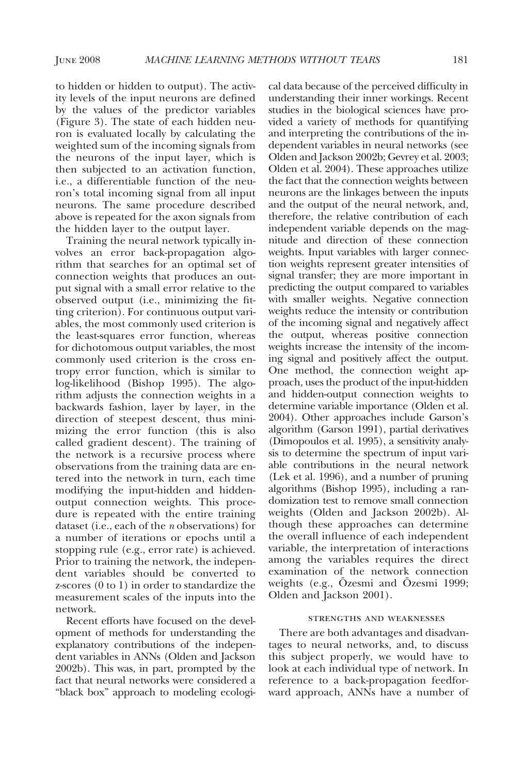to hidden or hidden to output). The activity levels of the input neurons are defined by the values of the predictor variables (Figure 3). The state of each hidden neuron is evaluated locally by calculating the weighted sum of the incoming signals from the neurons of the input layer, which is then subjected to an activation function, i.e., a differentiable function of the neuron's total incoming signal from all input neurons. The same procedure described above is repeated for the axon signals from the hidden layer to the output layer.

Training the neural network typically involves an error back-propagation algorithm that searches for an optimal set of connection weights that produces an output signal with a small error relative to the observed output (i.e., minimizing the fitting criterion). For continuous output variables, the most commonly used criterion is the least-squares error function, whereas for dichotomous output variables, the most commonly used criterion is the cross entropy error function, which is similar to log-likelihood (Bishop 1995). The algorithm adjusts the connection weights in a backwards fashion, layer by layer, in the direction of steepest descent, thus minimizing the error function (this is also called gradient descent). The training of the network is a recursive process where observations from the training data are entered into the network in turn, each time modifying the input-hidden and hiddenoutput connection weights. This procedure is repeated with the entire training dataset (i.e., each of the *n* observations) for a number of iterations or epochs until a stopping rule (e.g., error rate) is achieved. Prior to training the network, the independent variables should be converted to z-scores (0 to 1) in order to standardize the measurement scales of the inputs into the network.

Recent efforts have focused on the development of methods for understanding the explanatory contributions of the independent variables in ANNs (Olden and Jackson 2002b). This was, in part, prompted by the fact that neural networks were considered a "black box" approach to modeling ecological data because of the perceived difficulty in understanding their inner workings. Recent studies in the biological sciences have provided a variety of methods for quantifying and interpreting the contributions of the independent variables in neural networks (see Olden and Jackson 2002b; Gevrey et al. 2003; Olden et al. 2004). These approaches utilize the fact that the connection weights between neurons are the linkages between the inputs and the output of the neural network, and, therefore, the relative contribution of each independent variable depends on the magnitude and direction of these connection weights. Input variables with larger connection weights represent greater intensities of signal transfer; they are more important in predicting the output compared to variables with smaller weights. Negative connection weights reduce the intensity or contribution of the incoming signal and negatively affect the output, whereas positive connection weights increase the intensity of the incoming signal and positively affect the output. One method, the connection weight approach, uses the product of the input-hidden and hidden-output connection weights to determine variable importance (Olden et al. 2004). Other approaches include Garson's algorithm (Garson 1991), partial derivatives (Dimopoulos et al. 1995), a sensitivity analysis to determine the spectrum of input variable contributions in the neural network (Lek et al. 1996), and a number of pruning algorithms (Bishop 1995), including a randomization test to remove small connection weights (Olden and Jackson 2002b). Although these approaches can determine the overall influence of each independent variable, the interpretation of interactions among the variables requires the direct examination of the network connection weights (e.g., Ozesmi and Özesmi 1999; Olden and Jackson 2001).

#### strengths and weaknesses

There are both advantages and disadvantages to neural networks, and, to discuss this subject properly, we would have to look at each individual type of network. In reference to a back-propagation feedforward approach, ANNs have a number of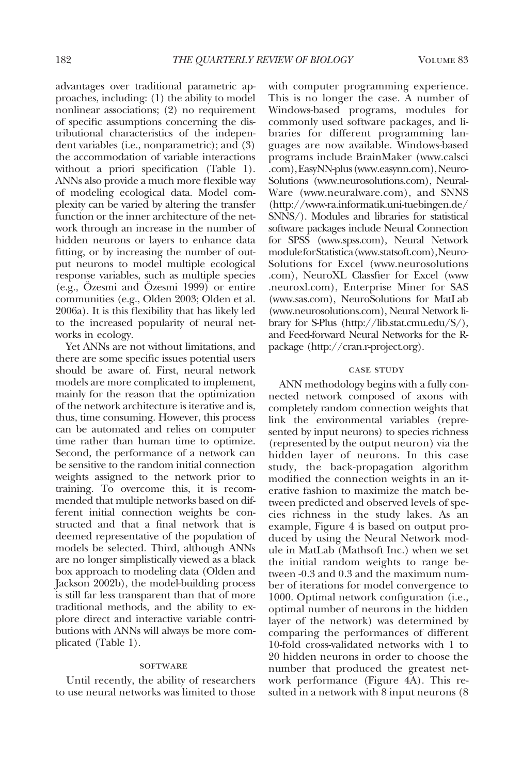advantages over traditional parametric approaches, including: (1) the ability to model nonlinear associations; (2) no requirement of specific assumptions concerning the distributional characteristics of the independent variables (i.e., nonparametric); and (3) the accommodation of variable interactions without a priori specification (Table 1). ANNs also provide a much more flexible way of modeling ecological data. Model complexity can be varied by altering the transfer function or the inner architecture of the network through an increase in the number of hidden neurons or layers to enhance data fitting, or by increasing the number of output neurons to model multiple ecological response variables, such as multiple species (e.g., Ozesmi and Ozesmi 1999) or entire communities (e.g., Olden 2003; Olden et al. 2006a). It is this flexibility that has likely led to the increased popularity of neural networks in ecology.

Yet ANNs are not without limitations, and there are some specific issues potential users should be aware of. First, neural network models are more complicated to implement, mainly for the reason that the optimization of the network architecture is iterative and is, thus, time consuming. However, this process can be automated and relies on computer time rather than human time to optimize. Second, the performance of a network can be sensitive to the random initial connection weights assigned to the network prior to training. To overcome this, it is recommended that multiple networks based on different initial connection weights be constructed and that a final network that is deemed representative of the population of models be selected. Third, although ANNs are no longer simplistically viewed as a black box approach to modeling data (Olden and Jackson 2002b), the model-building process is still far less transparent than that of more traditional methods, and the ability to explore direct and interactive variable contributions with ANNs will always be more complicated (Table 1).

#### **SOFTWARE**

Until recently, the ability of researchers to use neural networks was limited to those

with computer programming experience. This is no longer the case. A number of Windows-based programs, modules for commonly used software packages, and libraries for different programming languages are now available. Windows-based programs include BrainMaker (www.calsci .com),EasyNN-plus(www.easynn.com),Neuro-Solutions (www.neurosolutions.com), Neural-Ware (www.neuralware.com), and SNNS (http://www-ra.informatik.uni-tuebingen.de/ SNNS/). Modules and libraries for statistical software packages include Neural Connection for SPSS (www.spss.com), Neural Network moduleforStatistica(www.statsoft.com),Neuro-Solutions for Excel (www.neurosolutions .com), NeuroXL Classfier for Excel (www .neuroxl.com), Enterprise Miner for SAS (www.sas.com), NeuroSolutions for MatLab (www.neurosolutions.com), Neural Network library for S-Plus (http://lib.stat.cmu.edu/S/), and Feed-forward Neural Networks for the Rpackage (http://cran.r-project.org).

### case study

ANN methodology begins with a fully connected network composed of axons with completely random connection weights that link the environmental variables (represented by input neurons) to species richness (represented by the output neuron) via the hidden layer of neurons. In this case study, the back-propagation algorithm modified the connection weights in an iterative fashion to maximize the match between predicted and observed levels of species richness in the study lakes. As an example, Figure 4 is based on output produced by using the Neural Network module in MatLab (Mathsoft Inc.) when we set the initial random weights to range between -0.3 and 0.3 and the maximum number of iterations for model convergence to 1000. Optimal network configuration (i.e., optimal number of neurons in the hidden layer of the network) was determined by comparing the performances of different 10-fold cross-validated networks with 1 to 20 hidden neurons in order to choose the number that produced the greatest network performance (Figure 4A). This resulted in a network with 8 input neurons (8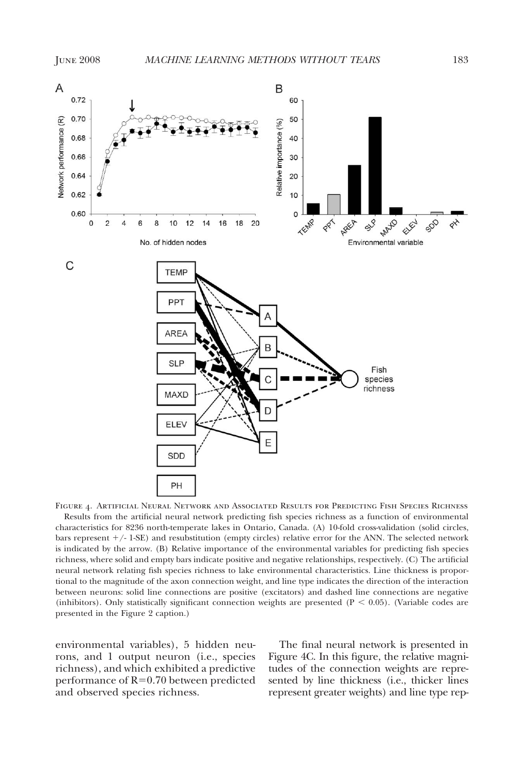

Figure 4. Artificial Neural Network and Associated Results for Predicting Fish Species Richness Results from the artificial neural network predicting fish species richness as a function of environmental characteristics for 8236 north-temperate lakes in Ontario, Canada. (A) 10-fold cross-validation (solid circles, bars represent  $+/-$  1-SE) and resubstitution (empty circles) relative error for the ANN. The selected network is indicated by the arrow. (B) Relative importance of the environmental variables for predicting fish species richness, where solid and empty bars indicate positive and negative relationships, respectively. (C) The artificial neural network relating fish species richness to lake environmental characteristics. Line thickness is proportional to the magnitude of the axon connection weight, and line type indicates the direction of the interaction between neurons: solid line connections are positive (excitators) and dashed line connections are negative (inhibitors). Only statistically significant connection weights are presented ( $P < 0.05$ ). (Variable codes are presented in the Figure 2 caption.)

environmental variables), 5 hidden neurons, and 1 output neuron (i.e., species richness), and which exhibited a predictive performance of R=0.70 between predicted and observed species richness.

The final neural network is presented in Figure 4C. In this figure, the relative magnitudes of the connection weights are represented by line thickness (i.e., thicker lines represent greater weights) and line type rep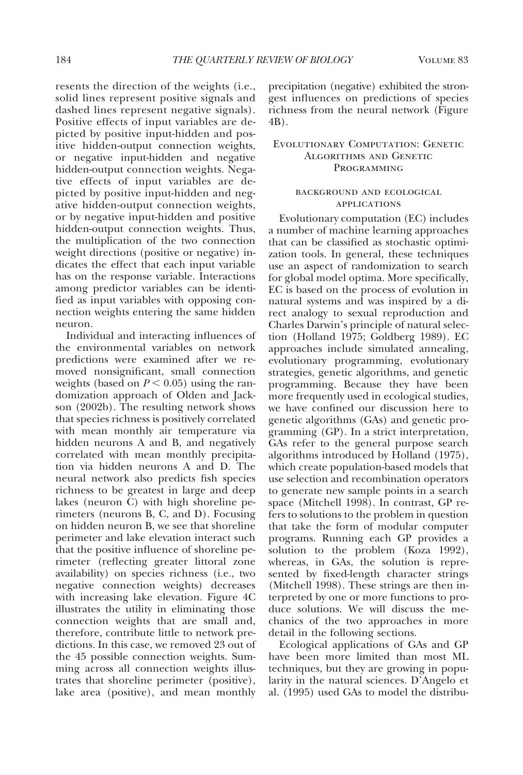resents the direction of the weights (i.e., solid lines represent positive signals and dashed lines represent negative signals). Positive effects of input variables are depicted by positive input-hidden and positive hidden-output connection weights, or negative input-hidden and negative hidden-output connection weights. Negative effects of input variables are depicted by positive input-hidden and negative hidden-output connection weights, or by negative input-hidden and positive hidden-output connection weights. Thus, the multiplication of the two connection weight directions (positive or negative) indicates the effect that each input variable has on the response variable. Interactions among predictor variables can be identified as input variables with opposing connection weights entering the same hidden neuron.

Individual and interacting influences of the environmental variables on network predictions were examined after we removed nonsignificant, small connection weights (based on  $P < 0.05$ ) using the randomization approach of Olden and Jackson (2002b). The resulting network shows that species richness is positively correlated with mean monthly air temperature via hidden neurons A and B, and negatively correlated with mean monthly precipitation via hidden neurons A and D. The neural network also predicts fish species richness to be greatest in large and deep lakes (neuron C) with high shoreline perimeters (neurons B, C, and D). Focusing on hidden neuron B, we see that shoreline perimeter and lake elevation interact such that the positive influence of shoreline perimeter (reflecting greater littoral zone availability) on species richness (i.e., two negative connection weights) decreases with increasing lake elevation. Figure 4C illustrates the utility in eliminating those connection weights that are small and, therefore, contribute little to network predictions. In this case, we removed 23 out of the 45 possible connection weights. Summing across all connection weights illustrates that shoreline perimeter (positive), lake area (positive), and mean monthly

precipitation (negative) exhibited the strongest influences on predictions of species richness from the neural network (Figure 4B).

# Evolutionary Computation: Genetic Algorithms and Genetic **PROGRAMMING**

### background and ecological **APPLICATIONS**

Evolutionary computation (EC) includes a number of machine learning approaches that can be classified as stochastic optimization tools. In general, these techniques use an aspect of randomization to search for global model optima. More specifically, EC is based on the process of evolution in natural systems and was inspired by a direct analogy to sexual reproduction and Charles Darwin's principle of natural selection (Holland 1975; Goldberg 1989). EC approaches include simulated annealing, evolutionary programming, evolutionary strategies, genetic algorithms, and genetic programming. Because they have been more frequently used in ecological studies, we have confined our discussion here to genetic algorithms (GAs) and genetic programming (GP). In a strict interpretation, GAs refer to the general purpose search algorithms introduced by Holland (1975), which create population-based models that use selection and recombination operators to generate new sample points in a search space (Mitchell 1998). In contrast, GP refers to solutions to the problem in question that take the form of modular computer programs. Running each GP provides a solution to the problem (Koza 1992), whereas, in GAs, the solution is represented by fixed-length character strings (Mitchell 1998). These strings are then interpreted by one or more functions to produce solutions. We will discuss the mechanics of the two approaches in more detail in the following sections.

Ecological applications of GAs and GP have been more limited than most ML techniques, but they are growing in popularity in the natural sciences. D'Angelo et al. (1995) used GAs to model the distribu-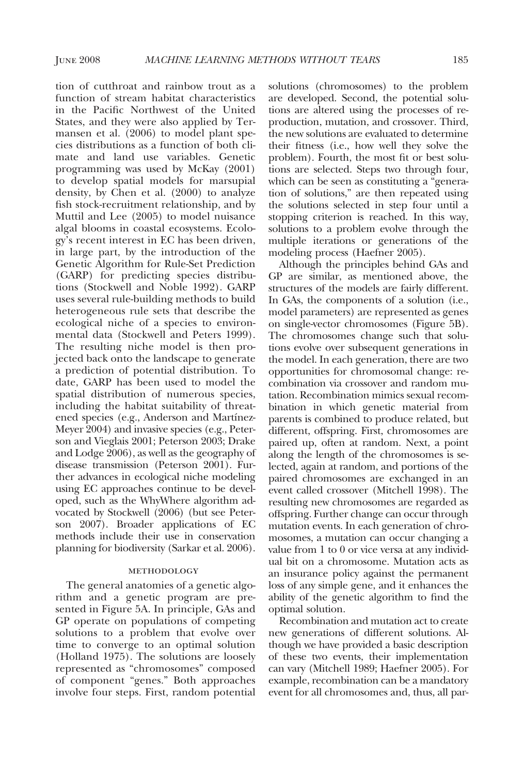tion of cutthroat and rainbow trout as a function of stream habitat characteristics in the Pacific Northwest of the United States, and they were also applied by Termansen et al. (2006) to model plant species distributions as a function of both climate and land use variables. Genetic programming was used by McKay (2001) to develop spatial models for marsupial density, by Chen et al. (2000) to analyze fish stock-recruitment relationship, and by Muttil and Lee (2005) to model nuisance algal blooms in coastal ecosystems. Ecology's recent interest in EC has been driven, in large part, by the introduction of the Genetic Algorithm for Rule-Set Prediction (GARP) for predicting species distributions (Stockwell and Noble 1992). GARP uses several rule-building methods to build heterogeneous rule sets that describe the ecological niche of a species to environmental data (Stockwell and Peters 1999). The resulting niche model is then projected back onto the landscape to generate a prediction of potential distribution. To date, GARP has been used to model the spatial distribution of numerous species, including the habitat suitability of threatened species (e.g., Anderson and Martínez-Meyer 2004) and invasive species (e.g., Peterson and Vieglais 2001; Peterson 2003; Drake and Lodge 2006), as well as the geography of disease transmission (Peterson 2001). Further advances in ecological niche modeling using EC approaches continue to be developed, such as the WhyWhere algorithm advocated by Stockwell (2006) (but see Peterson 2007). Broader applications of EC methods include their use in conservation planning for biodiversity (Sarkar et al. 2006).

#### methodology

The general anatomies of a genetic algorithm and a genetic program are presented in Figure 5A. In principle, GAs and GP operate on populations of competing solutions to a problem that evolve over time to converge to an optimal solution (Holland 1975). The solutions are loosely represented as "chromosomes" composed of component "genes." Both approaches involve four steps. First, random potential

solutions (chromosomes) to the problem are developed. Second, the potential solutions are altered using the processes of reproduction, mutation, and crossover. Third, the new solutions are evaluated to determine their fitness (i.e., how well they solve the problem). Fourth, the most fit or best solutions are selected. Steps two through four, which can be seen as constituting a "generation of solutions," are then repeated using the solutions selected in step four until a stopping criterion is reached. In this way, solutions to a problem evolve through the multiple iterations or generations of the modeling process (Haefner 2005).

Although the principles behind GAs and GP are similar, as mentioned above, the structures of the models are fairly different. In GAs, the components of a solution (i.e., model parameters) are represented as genes on single-vector chromosomes (Figure 5B). The chromosomes change such that solutions evolve over subsequent generations in the model. In each generation, there are two opportunities for chromosomal change: recombination via crossover and random mutation. Recombination mimics sexual recombination in which genetic material from parents is combined to produce related, but different, offspring. First, chromosomes are paired up, often at random. Next, a point along the length of the chromosomes is selected, again at random, and portions of the paired chromosomes are exchanged in an event called crossover (Mitchell 1998). The resulting new chromosomes are regarded as offspring. Further change can occur through mutation events. In each generation of chromosomes, a mutation can occur changing a value from 1 to 0 or vice versa at any individual bit on a chromosome. Mutation acts as an insurance policy against the permanent loss of any simple gene, and it enhances the ability of the genetic algorithm to find the optimal solution.

Recombination and mutation act to create new generations of different solutions. Although we have provided a basic description of these two events, their implementation can vary (Mitchell 1989; Haefner 2005). For example, recombination can be a mandatory event for all chromosomes and, thus, all par-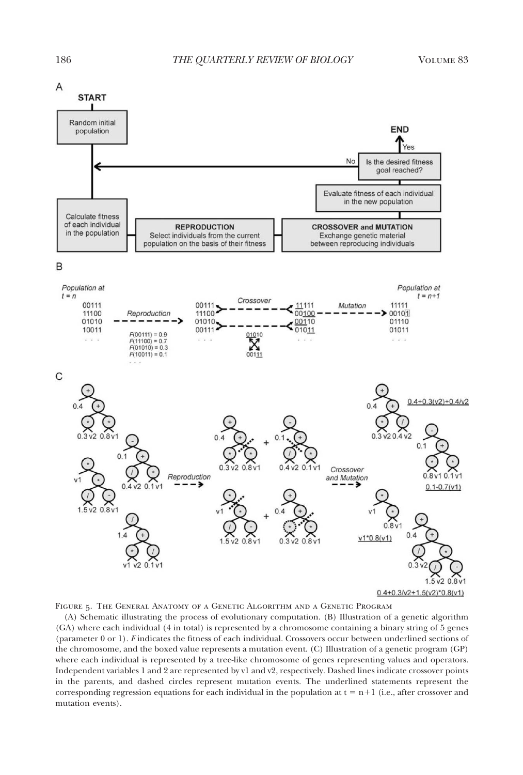

Figure 5. The General Anatomy of a Genetic Algorithm and a Genetic Program

(A) Schematic illustrating the process of evolutionary computation. (B) Illustration of a genetic algorithm (GA) where each individual (4 in total) is represented by a chromosome containing a binary string of 5 genes (parameter 0 or 1). *F* indicates the fitness of each individual. Crossovers occur between underlined sections of the chromosome, and the boxed value represents a mutation event. (C) Illustration of a genetic program (GP) where each individual is represented by a tree-like chromosome of genes representing values and operators. Independent variables 1 and 2 are represented by v1 and v2, respectively. Dashed lines indicate crossover points in the parents, and dashed circles represent mutation events. The underlined statements represent the corresponding regression equations for each individual in the population at  $t = n+1$  (i.e., after crossover and mutation events).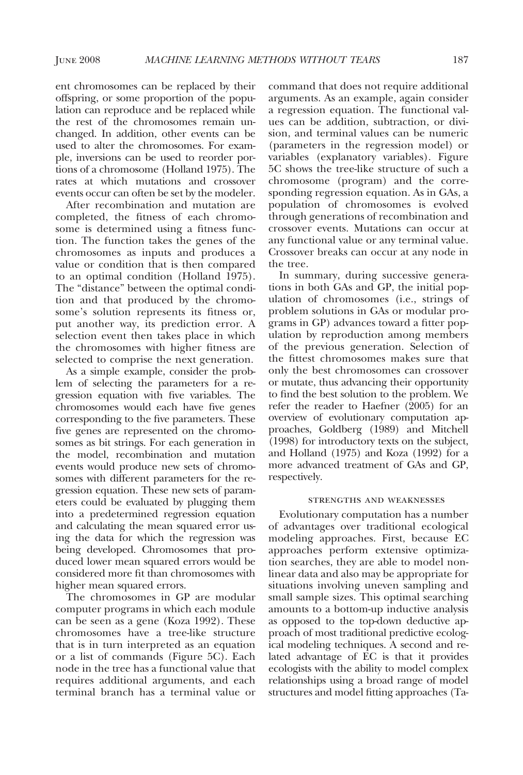ent chromosomes can be replaced by their offspring, or some proportion of the population can reproduce and be replaced while the rest of the chromosomes remain unchanged. In addition, other events can be used to alter the chromosomes. For example, inversions can be used to reorder portions of a chromosome (Holland 1975). The rates at which mutations and crossover events occur can often be set by the modeler.

After recombination and mutation are completed, the fitness of each chromosome is determined using a fitness function. The function takes the genes of the chromosomes as inputs and produces a value or condition that is then compared to an optimal condition (Holland 1975). The "distance" between the optimal condition and that produced by the chromosome's solution represents its fitness or, put another way, its prediction error. A selection event then takes place in which the chromosomes with higher fitness are selected to comprise the next generation.

As a simple example, consider the problem of selecting the parameters for a regression equation with five variables. The chromosomes would each have five genes corresponding to the five parameters. These five genes are represented on the chromosomes as bit strings. For each generation in the model, recombination and mutation events would produce new sets of chromosomes with different parameters for the regression equation. These new sets of parameters could be evaluated by plugging them into a predetermined regression equation and calculating the mean squared error using the data for which the regression was being developed. Chromosomes that produced lower mean squared errors would be considered more fit than chromosomes with higher mean squared errors.

The chromosomes in GP are modular computer programs in which each module can be seen as a gene (Koza 1992). These chromosomes have a tree-like structure that is in turn interpreted as an equation or a list of commands (Figure 5C). Each node in the tree has a functional value that requires additional arguments, and each terminal branch has a terminal value or

command that does not require additional arguments. As an example, again consider a regression equation. The functional values can be addition, subtraction, or division, and terminal values can be numeric (parameters in the regression model) or variables (explanatory variables). Figure 5C shows the tree-like structure of such a chromosome (program) and the corresponding regression equation. As in GAs, a population of chromosomes is evolved through generations of recombination and crossover events. Mutations can occur at any functional value or any terminal value. Crossover breaks can occur at any node in the tree.

In summary, during successive generations in both GAs and GP, the initial population of chromosomes (i.e., strings of problem solutions in GAs or modular programs in GP) advances toward a fitter population by reproduction among members of the previous generation. Selection of the fittest chromosomes makes sure that only the best chromosomes can crossover or mutate, thus advancing their opportunity to find the best solution to the problem. We refer the reader to Haefner (2005) for an overview of evolutionary computation approaches, Goldberg (1989) and Mitchell (1998) for introductory texts on the subject, and Holland (1975) and Koza (1992) for a more advanced treatment of GAs and GP, respectively.

## strengths and weaknesses

Evolutionary computation has a number of advantages over traditional ecological modeling approaches. First, because EC approaches perform extensive optimization searches, they are able to model nonlinear data and also may be appropriate for situations involving uneven sampling and small sample sizes. This optimal searching amounts to a bottom-up inductive analysis as opposed to the top-down deductive approach of most traditional predictive ecological modeling techniques. A second and related advantage of EC is that it provides ecologists with the ability to model complex relationships using a broad range of model structures and model fitting approaches (Ta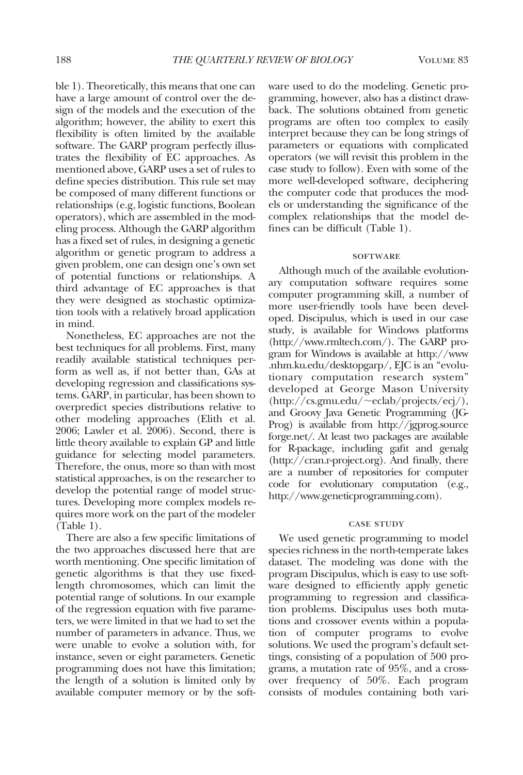ble 1). Theoretically, this means that one can have a large amount of control over the design of the models and the execution of the algorithm; however, the ability to exert this flexibility is often limited by the available software. The GARP program perfectly illustrates the flexibility of EC approaches. As mentioned above, GARP uses a set of rules to define species distribution. This rule set may be composed of many different functions or relationships (e.g, logistic functions, Boolean operators), which are assembled in the modeling process. Although the GARP algorithm has a fixed set of rules, in designing a genetic algorithm or genetic program to address a given problem, one can design one's own set of potential functions or relationships. A third advantage of EC approaches is that they were designed as stochastic optimization tools with a relatively broad application in mind.

Nonetheless, EC approaches are not the best techniques for all problems. First, many readily available statistical techniques perform as well as, if not better than, GAs at developing regression and classifications systems. GARP, in particular, has been shown to overpredict species distributions relative to other modeling approaches (Elith et al. 2006; Lawler et al. 2006). Second, there is little theory available to explain GP and little guidance for selecting model parameters. Therefore, the onus, more so than with most statistical approaches, is on the researcher to develop the potential range of model structures. Developing more complex models requires more work on the part of the modeler (Table 1).

There are also a few specific limitations of the two approaches discussed here that are worth mentioning. One specific limitation of genetic algorithms is that they use fixedlength chromosomes, which can limit the potential range of solutions. In our example of the regression equation with five parameters, we were limited in that we had to set the number of parameters in advance. Thus, we were unable to evolve a solution with, for instance, seven or eight parameters. Genetic programming does not have this limitation; the length of a solution is limited only by available computer memory or by the software used to do the modeling. Genetic programming, however, also has a distinct drawback. The solutions obtained from genetic programs are often too complex to easily interpret because they can be long strings of parameters or equations with complicated operators (we will revisit this problem in the case study to follow). Even with some of the more well-developed software, deciphering the computer code that produces the models or understanding the significance of the complex relationships that the model defines can be difficult (Table 1).

#### **SOFTWARE**

Although much of the available evolutionary computation software requires some computer programming skill, a number of more user-friendly tools have been developed. Discipulus, which is used in our case study, is available for Windows platforms (http://www.rmltech.com/). The GARP program for Windows is available at http://www .nhm.ku.edu/desktopgarp/, EJC is an "evolutionary computation research system" developed at George Mason University (http://cs.gmu.edu/~eclab/projects/ecj/), and Groovy Java Genetic Programming (JG-Prog) is available from http://jgprog.source forge.net/. At least two packages are available for R-package, including gafit and genalg (http://cran.r-project.org). And finally, there are a number of repositories for computer code for evolutionary computation (e.g., http://www.geneticprogramming.com).

#### case study

We used genetic programming to model species richness in the north-temperate lakes dataset. The modeling was done with the program Discipulus, which is easy to use software designed to efficiently apply genetic programming to regression and classification problems. Discipulus uses both mutations and crossover events within a population of computer programs to evolve solutions. We used the program's default settings, consisting of a population of 500 programs, a mutation rate of 95%, and a crossover frequency of 50%. Each program consists of modules containing both vari-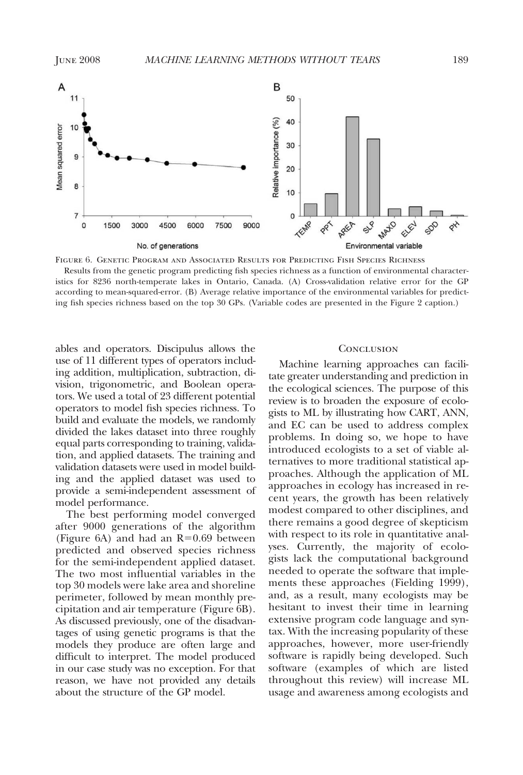

Figure 6. Genetic Program and Associated Results for Predicting Fish Species Richness Results from the genetic program predicting fish species richness as a function of environmental characteristics for 8236 north-temperate lakes in Ontario, Canada. (A) Cross-validation relative error for the GP according to mean-squared-error. (B) Average relative importance of the environmental variables for predicting fish species richness based on the top 30 GPs. (Variable codes are presented in the Figure 2 caption.)

ables and operators. Discipulus allows the use of 11 different types of operators including addition, multiplication, subtraction, division, trigonometric, and Boolean operators. We used a total of 23 different potential operators to model fish species richness. To build and evaluate the models, we randomly divided the lakes dataset into three roughly equal parts corresponding to training, validation, and applied datasets. The training and validation datasets were used in model building and the applied dataset was used to provide a semi-independent assessment of model performance.

The best performing model converged after 9000 generations of the algorithm (Figure 6A) and had an  $R = 0.69$  between predicted and observed species richness for the semi-independent applied dataset. The two most influential variables in the top 30 models were lake area and shoreline perimeter, followed by mean monthly precipitation and air temperature (Figure 6B). As discussed previously, one of the disadvantages of using genetic programs is that the models they produce are often large and difficult to interpret. The model produced in our case study was no exception. For that reason, we have not provided any details about the structure of the GP model.

#### **CONCLUSION**

Machine learning approaches can facilitate greater understanding and prediction in the ecological sciences. The purpose of this review is to broaden the exposure of ecologists to ML by illustrating how CART, ANN, and EC can be used to address complex problems. In doing so, we hope to have introduced ecologists to a set of viable alternatives to more traditional statistical approaches. Although the application of ML approaches in ecology has increased in recent years, the growth has been relatively modest compared to other disciplines, and there remains a good degree of skepticism with respect to its role in quantitative analyses. Currently, the majority of ecologists lack the computational background needed to operate the software that implements these approaches (Fielding 1999), and, as a result, many ecologists may be hesitant to invest their time in learning extensive program code language and syntax. With the increasing popularity of these approaches, however, more user-friendly software is rapidly being developed. Such software (examples of which are listed throughout this review) will increase ML usage and awareness among ecologists and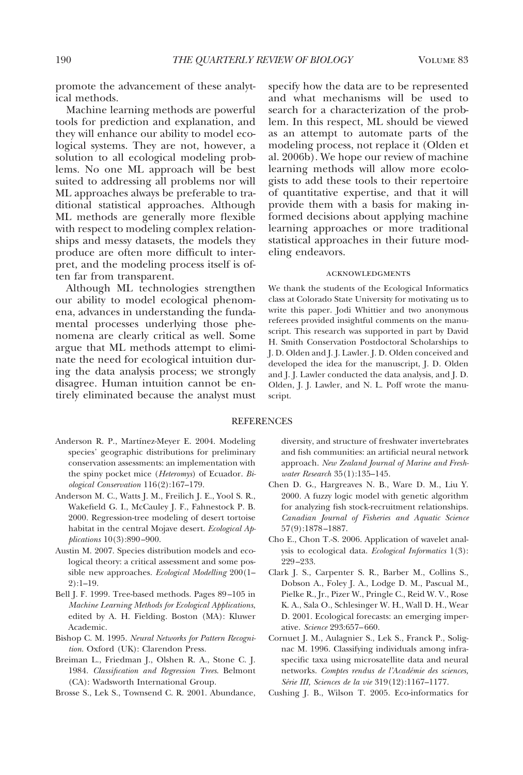promote the advancement of these analytical methods.

Machine learning methods are powerful tools for prediction and explanation, and they will enhance our ability to model ecological systems. They are not, however, a solution to all ecological modeling problems. No one ML approach will be best suited to addressing all problems nor will ML approaches always be preferable to traditional statistical approaches. Although ML methods are generally more flexible with respect to modeling complex relationships and messy datasets, the models they produce are often more difficult to interpret, and the modeling process itself is often far from transparent.

Although ML technologies strengthen our ability to model ecological phenomena, advances in understanding the fundamental processes underlying those phenomena are clearly critical as well. Some argue that ML methods attempt to eliminate the need for ecological intuition during the data analysis process; we strongly disagree. Human intuition cannot be entirely eliminated because the analyst must

specify how the data are to be represented and what mechanisms will be used to search for a characterization of the problem. In this respect, ML should be viewed as an attempt to automate parts of the modeling process, not replace it (Olden et al. 2006b). We hope our review of machine learning methods will allow more ecologists to add these tools to their repertoire of quantitative expertise, and that it will provide them with a basis for making informed decisions about applying machine learning approaches or more traditional statistical approaches in their future modeling endeavors.

#### acknowledgments

We thank the students of the Ecological Informatics class at Colorado State University for motivating us to write this paper. Jodi Whittier and two anonymous referees provided insightful comments on the manuscript. This research was supported in part by David H. Smith Conservation Postdoctoral Scholarships to J. D. Olden and J. J. Lawler. J. D. Olden conceived and developed the idea for the manuscript, J. D. Olden and J. J. Lawler conducted the data analysis, and J. D. Olden, J. J. Lawler, and N. L. Poff wrote the manuscript.

#### **REFERENCES**

- Anderson R. P., Martínez-Meyer E. 2004. Modeling species' geographic distributions for preliminary conservation assessments: an implementation with the spiny pocket mice (*Heteromys*) of Ecuador. *Biological Conservation* 116(2):167–179.
- Anderson M. C., Watts J. M., Freilich J. E., Yool S. R., Wakefield G. I., McCauley J. F., Fahnestock P. B. 2000. Regression-tree modeling of desert tortoise habitat in the central Mojave desert. *Ecological Applications* 10(3):890 –900.
- Austin M. 2007. Species distribution models and ecological theory: a critical assessment and some possible new approaches. *Ecological Modelling* 200(1– 2):1–19.
- Bell J. F. 1999. Tree-based methods. Pages 89 –105 in *Machine Learning Methods for Ecological Applications*, edited by A. H. Fielding. Boston (MA): Kluwer Academic.
- Bishop C. M. 1995. *Neural Networks for Pattern Recognition*. Oxford (UK): Clarendon Press.
- Breiman L., Friedman J., Olshen R. A., Stone C. J. 1984. *Classification and Regression Trees*. Belmont (CA): Wadsworth International Group.
- Brosse S., Lek S., Townsend C. R. 2001. Abundance,

diversity, and structure of freshwater invertebrates and fish communities: an artificial neural network approach. *New Zealand Journal of Marine and Freshwater Research* 35(1):135–145.

- Chen D. G., Hargreaves N. B., Ware D. M., Liu Y. 2000. A fuzzy logic model with genetic algorithm for analyzing fish stock-recruitment relationships. *Canadian Journal of Fisheries and Aquatic Science* 57(9):1878 –1887.
- Cho E., Chon T.-S. 2006. Application of wavelet analysis to ecological data. *Ecological Informatics* 1(3): 229 –233.
- Clark J. S., Carpenter S. R., Barber M., Collins S., Dobson A., Foley J. A., Lodge D. M., Pascual M., Pielke R., Jr., Pizer W., Pringle C., Reid W. V., Rose K. A., Sala O., Schlesinger W. H., Wall D. H., Wear D. 2001. Ecological forecasts: an emerging imperative. *Science* 293:657– 660.
- Cornuet J. M., Aulagnier S., Lek S., Franck P., Solignac M. 1996. Classifying individuals among infraspecific taxa using microsatellite data and neural networks. *Comptes rendus de l'Acade´mie des sciences, Se´rie III, Sciences de la vie* 319(12):1167–1177.
- Cushing J. B., Wilson T. 2005. Eco-informatics for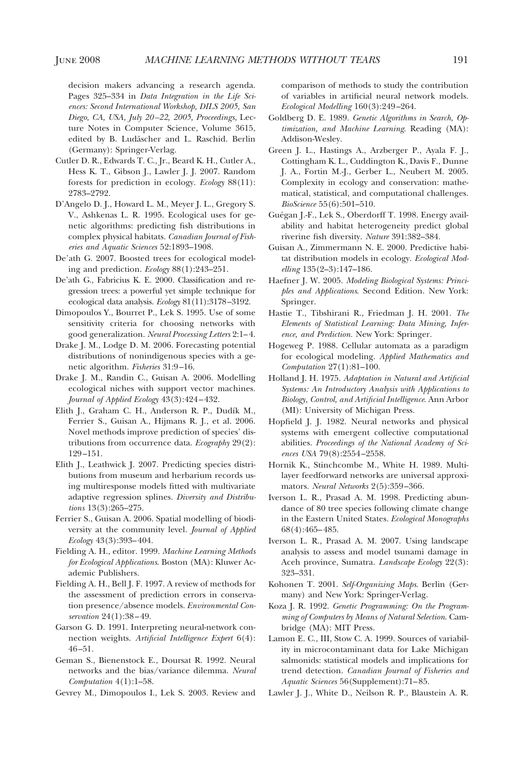decision makers advancing a research agenda. Pages 325–334 in *Data Integration in the Life Sciences: Second International Workshop, DILS 2005, San Diego, CA, USA, July 20 –22, 2005, Proceedings,* Lecture Notes in Computer Science, Volume 3615, edited by B. Ludäscher and L. Raschid. Berlin (Germany): Springer-Verlag.

- Cutler D. R., Edwards T. C., Jr., Beard K. H., Cutler A., Hess K. T., Gibson J., Lawler J. J. 2007. Random forests for prediction in ecology. *Ecology* 88(11): 2783–2792.
- D'Angelo D. J., Howard L. M., Meyer J. L., Gregory S. V., Ashkenas L. R. 1995. Ecological uses for genetic algorithms: predicting fish distributions in complex physical habitats. *Canadian Journal of Fisheries and Aquatic Sciences* 52:1893–1908.
- De'ath G. 2007. Boosted trees for ecological modeling and prediction. *Ecology* 88(1):243–251.
- De'ath G., Fabricius K. E. 2000. Classification and regression trees: a powerful yet simple technique for ecological data analysis. *Ecology* 81(11):3178 –3192.
- Dimopoulos Y., Bourret P., Lek S. 1995. Use of some sensitivity criteria for choosing networks with good generalization. *Neural Processing Letters* 2:1– 4.
- Drake J. M., Lodge D. M. 2006. Forecasting potential distributions of nonindigenous species with a genetic algorithm. *Fisheries* 31:9 –16.
- Drake J. M., Randin C., Guisan A. 2006. Modelling ecological niches with support vector machines. *Journal of Applied Ecology* 43(3):424 – 432.
- Elith J., Graham C. H., Anderson R. P., Dudík M., Ferrier S., Guisan A., Hijmans R. J., et al. 2006. Novel methods improve prediction of species' distributions from occurrence data. *Ecography* 29(2): 129 –151.
- Elith J., Leathwick J. 2007. Predicting species distributions from museum and herbarium records using multiresponse models fitted with multivariate adaptive regression splines. *Diversity and Distributions* 13(3):265–275.
- Ferrier S., Guisan A. 2006. Spatial modelling of biodiversity at the community level. *Journal of Applied Ecology* 43(3):393– 404.
- Fielding A. H., editor. 1999. *Machine Learning Methods for Ecological Applications*. Boston (MA): Kluwer Academic Publishers.
- Fielding A. H., Bell J. F. 1997. A review of methods for the assessment of prediction errors in conservation presence/absence models. *Environmental Conservation* 24(1):38 – 49.
- Garson G. D. 1991. Interpreting neural-network connection weights. *Artificial Intelligence Expert* 6(4): 46 –51.
- Geman S., Bienenstock E., Doursat R. 1992. Neural networks and the bias/variance dilemma. *Neural Computation* 4(1):1–58.

Gevrey M., Dimopoulos I., Lek S. 2003. Review and

comparison of methods to study the contribution of variables in artificial neural network models. *Ecological Modelling* 160(3):249 –264.

- Goldberg D. E. 1989. *Genetic Algorithms in Search, Optimization, and Machine Learning*. Reading (MA): Addison-Wesley.
- Green J. L., Hastings A., Arzberger P., Ayala F. J., Cottingham K. L., Cuddington K., Davis F., Dunne J. A., Fortin M.-J., Gerber L., Neubert M. 2005. Complexity in ecology and conservation: mathematical, statistical, and computational challenges. *BioScience* 55(6):501–510.
- Guégan J.-F., Lek S., Oberdorff T. 1998. Energy availability and habitat heterogeneity predict global riverine fish diversity. *Nature* 391:382–384.
- Guisan A., Zimmermann N. E. 2000. Predictive habitat distribution models in ecology. *Ecological Modelling* 135(2–3):147–186.
- Haefner J. W. 2005. *Modeling Biological Systems: Principles and Applications*. Second Edition. New York: Springer.
- Hastie T., Tibshirani R., Friedman J. H. 2001. *The Elements of Statistical Learning: Data Mining, Inference, and Prediction.* New York: Springer.
- Hogeweg P. 1988. Cellular automata as a paradigm for ecological modeling. *Applied Mathematics and Computation* 27(1):81–100.
- Holland J. H. 1975. *Adaptation in Natural and Artificial Systems: An Introductory Analysis with Applications to Biology, Control, and Artificial Intelligence*. Ann Arbor (MI): University of Michigan Press.
- Hopfield J. J. 1982. Neural networks and physical systems with emergent collective computational abilities. *Proceedings of the National Academy of Sciences USA* 79(8):2554 –2558.
- Hornik K., Stinchcombe M., White H. 1989. Multilayer feedforward networks are universal approximators. *Neural Networks* 2(5):359 –366.
- Iverson L. R., Prasad A. M. 1998. Predicting abundance of 80 tree species following climate change in the Eastern United States. *Ecological Monographs* 68(4):465– 485.
- Iverson L. R., Prasad A. M. 2007. Using landscape analysis to assess and model tsunami damage in Aceh province, Sumatra. *Landscape Ecology* 22(3): 323–331.
- Kohonen T. 2001. *Self-Organizing Maps*. Berlin (Germany) and New York: Springer-Verlag.
- Koza J. R. 1992. *Genetic Programming: On the Programming of Computers by Means of Natural Selection*. Cambridge (MA): MIT Press.
- Lamon E. C., III, Stow C. A. 1999. Sources of variability in microcontaminant data for Lake Michigan salmonids: statistical models and implications for trend detection. *Canadian Journal of Fisheries and Aquatic Sciences* 56(Supplement):71– 85.
- Lawler J. J., White D., Neilson R. P., Blaustein A. R.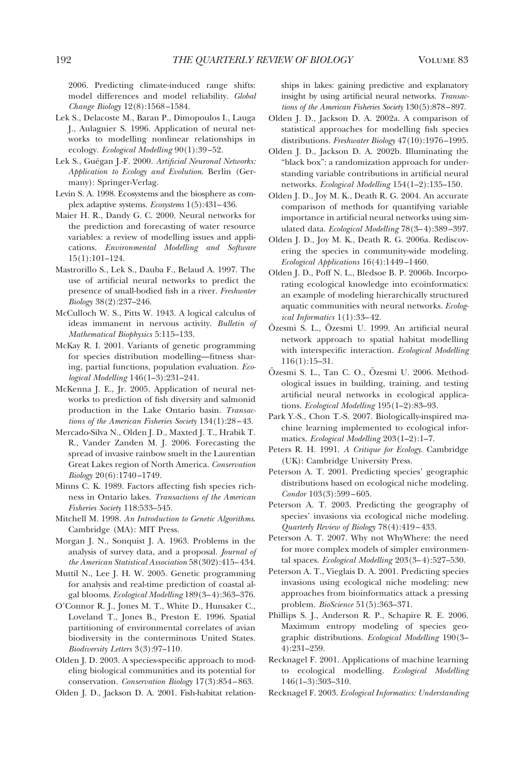2006. Predicting climate-induced range shifts: model differences and model reliability. *Global Change Biology* 12(8):1568 –1584.

- Lek S., Delacoste M., Baran P., Dimopoulos I., Lauga J., Aulagnier S. 1996. Application of neural networks to modelling nonlinear relationships in ecology. *Ecological Modelling* 90(1):39 –52.
- Lek S., Guégan J.-F. 2000. *Artificial Neuronal Networks*: *Application to Ecology and Evolution*. Berlin (Germany): Springer-Verlag.
- Levin S. A. 1998. Ecosystems and the biosphere as complex adaptive systems. *Ecosystems* 1(5):431–436.
- Maier H. R., Dandy G. C. 2000. Neural networks for the prediction and forecasting of water resource variables: a review of modelling issues and applications. *Environmental Modelling and Software* 15(1):101–124.
- Mastrorillo S., Lek S., Dauba F., Belaud A. 1997. The use of artificial neural networks to predict the presence of small-bodied fish in a river. *Freshwater Biology* 38(2):237–246.
- McCulloch W. S., Pitts W. 1943. A logical calculus of ideas immanent in nervous activity. *Bulletin of Mathematical Biophysics* 5:115–133.
- McKay R. I. 2001. Variants of genetic programming for species distribution modelling—fitness sharing, partial functions, population evaluation. *Ecological Modelling* 146(1–3):231–241.
- McKenna J. E., Jr. 2005. Application of neural networks to prediction of fish diversity and salmonid production in the Lake Ontario basin. *Transactions of the American Fisheries Society* 134(1):28 – 43.
- Mercado-Silva N., Olden J. D., Maxted J. T., Hrabik T. R., Vander Zanden M. J. 2006. Forecasting the spread of invasive rainbow smelt in the Laurentian Great Lakes region of North America. *Conservation Biology* 20(6):1740 –1749.
- Minns C. K. 1989. Factors affecting fish species richness in Ontario lakes. *Transactions of the American Fisheries Society* 118:533–545.
- Mitchell M. 1998. *An Introduction to Genetic Algorithms*. Cambridge (MA): MIT Press.
- Morgan J. N., Sonquist J. A. 1963. Problems in the analysis of survey data, and a proposal. *Journal of the American Statistical Association* 58(302):415– 434.
- Muttil N., Lee J. H. W. 2005. Genetic programming for analysis and real-time prediction of coastal algal blooms. *Ecological Modelling* 189(3– 4):363–376.
- O'Connor R. J., Jones M. T., White D., Hunsaker C., Loveland T., Jones B., Preston E. 1996. Spatial partitioning of environmental correlates of avian biodiversity in the conterminous United States. *Biodiversity Letters* 3(3):97–110.
- Olden J. D. 2003. A species-specific approach to modeling biological communities and its potential for conservation. *Conservation Biology* 17(3):854 – 863.
- Olden J. D., Jackson D. A. 2001. Fish-habitat relation-

ships in lakes: gaining predictive and explanatory insight by using artificial neural networks. *Transactions of the American Fisheries Society* 130(5):878 –897.

- Olden J. D., Jackson D. A. 2002a. A comparison of statistical approaches for modelling fish species distributions. *Freshwater Biology* 47(10):1976 –1995.
- Olden J. D., Jackson D. A. 2002b. Illuminating the "black box": a randomization approach for understanding variable contributions in artificial neural networks. *Ecological Modelling* 154(1–2):135–150.
- Olden J. D., Joy M. K., Death R. G. 2004. An accurate comparison of methods for quantifying variable importance in artificial neural networks using simulated data. *Ecological Modelling* 78(3-4):389-397.
- Olden J. D., Joy M. K., Death R. G. 2006a. Rediscovering the species in community-wide modeling. *Ecological Applications* 16(4):1449 –1460.
- Olden J. D., Poff N. L., Bledsoe B. P. 2006b. Incorporating ecological knowledge into ecoinformatics: an example of modeling hierarchically structured aquatic communities with neural networks. *Ecological Informatics* 1(1):33– 42.
- Özesmi S. L., Özesmi U. 1999. An artificial neural network approach to spatial habitat modelling with interspecific interaction. *Ecological Modelling* 116(1):15–31.
- Özesmi S. L., Tan C. O., Özesmi U. 2006. Methodological issues in building, training, and testing artificial neural networks in ecological applications. *Ecological Modelling* 195(1–2):83–93.
- Park Y.-S., Chon T.-S. 2007. Biologically-inspired machine learning implemented to ecological informatics. *Ecological Modelling* 203(1–2):1–7.
- Peters R. H. 1991. *A Critique for Ecology*. Cambridge (UK): Cambridge University Press.
- Peterson A. T. 2001. Predicting species' geographic distributions based on ecological niche modeling. *Condor* 103(3):599 – 605.
- Peterson A. T. 2003. Predicting the geography of species' invasions via ecological niche modeling. *Quarterly Review of Biology* 78(4):419 – 433.
- Peterson A. T. 2007. Why not WhyWhere: the need for more complex models of simpler environmental spaces. *Ecological Modelling* 203(3-4):527-530.
- Peterson A. T., Vieglais D. A. 2001. Predicting species invasions using ecological niche modeling: new approaches from bioinformatics attack a pressing problem. *BioScience* 51(5):363–371.
- Phillips S. J., Anderson R. P., Schapire R. E. 2006. Maximum entropy modeling of species geographic distributions. *Ecological Modelling* 190(3– 4):231–259.
- Recknagel F. 2001. Applications of machine learning to ecological modelling. *Ecological Modelling* 146(1–3):303–310.
- Recknagel F. 2003. *Ecological Informatics: Understanding*